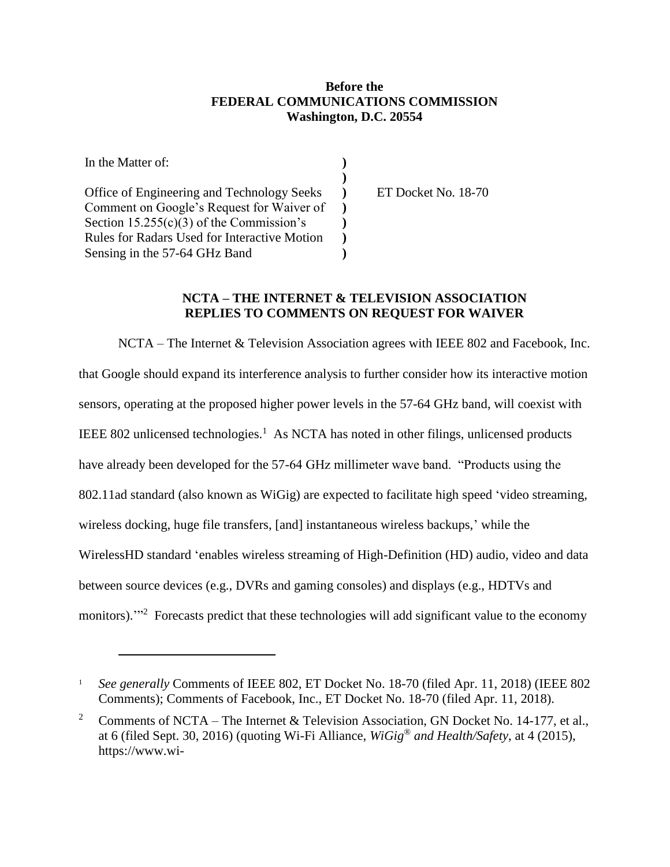## **Before the FEDERAL COMMUNICATIONS COMMISSION Washington, D.C. 20554**

| In the Matter of:                                   |  |
|-----------------------------------------------------|--|
|                                                     |  |
| Office of Engineering and Technology Seeks          |  |
| Comment on Google's Request for Waiver of           |  |
| Section 15.255(c)(3) of the Commission's            |  |
| <b>Rules for Radars Used for Interactive Motion</b> |  |
| Sensing in the 57-64 GHz Band                       |  |

 $\overline{a}$ 

ET Docket No. 18-70

## **NCTA – THE INTERNET & TELEVISION ASSOCIATION REPLIES TO COMMENTS ON REQUEST FOR WAIVER**

NCTA – The Internet & Television Association agrees with IEEE 802 and Facebook, Inc. that Google should expand its interference analysis to further consider how its interactive motion sensors, operating at the proposed higher power levels in the 57-64 GHz band, will coexist with IEEE 802 unlicensed technologies.<sup>1</sup> As NCTA has noted in other filings, unlicensed products have already been developed for the 57-64 GHz millimeter wave band. "Products using the 802.11ad standard (also known as WiGig) are expected to facilitate high speed 'video streaming, wireless docking, huge file transfers, [and] instantaneous wireless backups,' while the WirelessHD standard 'enables wireless streaming of High-Definition (HD) audio, video and data between source devices (e.g., DVRs and gaming consoles) and displays (e.g., HDTVs and monitors)."<sup>2</sup> Forecasts predict that these technologies will add significant value to the economy

<sup>&</sup>lt;sup>1</sup> *See generally* Comments of IEEE 802, ET Docket No. 18-70 (filed Apr. 11, 2018) (IEEE 802 Comments); Comments of Facebook, Inc., ET Docket No. 18-70 (filed Apr. 11, 2018).

<sup>&</sup>lt;sup>2</sup> Comments of NCTA – The Internet & Television Association, GN Docket No. 14-177, et al., at 6 (filed Sept. 30, 2016) (quoting Wi-Fi Alliance, *WiGig® and Health/Safety*, at 4 (2015), https://www.wi-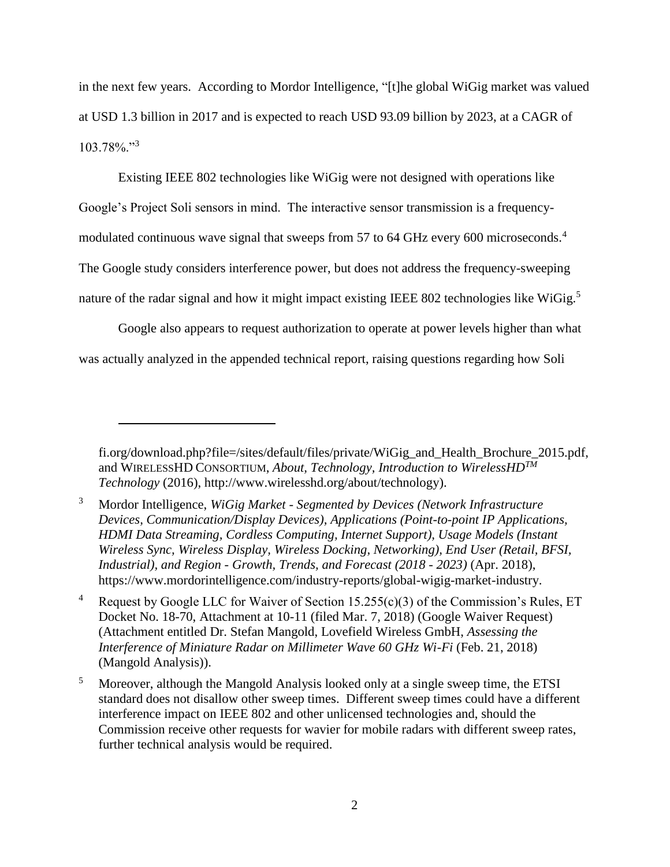in the next few years. According to Mordor Intelligence, "[t]he global WiGig market was valued at USD 1.3 billion in 2017 and is expected to reach USD 93.09 billion by 2023, at a CAGR of 103.78%."<sup>3</sup>

Existing IEEE 802 technologies like WiGig were not designed with operations like Google's Project Soli sensors in mind. The interactive sensor transmission is a frequencymodulated continuous wave signal that sweeps from 57 to 64 GHz every 600 microseconds.<sup>4</sup> The Google study considers interference power, but does not address the frequency-sweeping nature of the radar signal and how it might impact existing IEEE 802 technologies like WiGig.<sup>5</sup>

Google also appears to request authorization to operate at power levels higher than what was actually analyzed in the appended technical report, raising questions regarding how Soli

 $\overline{a}$ 

fi.org/download.php?file=/sites/default/files/private/WiGig\_and\_Health\_Brochure\_2015.pdf, and WIRELESSHD CONSORTIUM, *About, Technology, Introduction to WirelessHDTM Technology* (2016), http://www.wirelesshd.org/about/technology).

<sup>3</sup> Mordor Intelligence, *WiGig Market - Segmented by Devices (Network Infrastructure Devices, Communication/Display Devices), Applications (Point-to-point IP Applications, HDMI Data Streaming, Cordless Computing, Internet Support), Usage Models (Instant Wireless Sync, Wireless Display, Wireless Docking, Networking), End User (Retail, BFSI, Industrial), and Region - Growth, Trends, and Forecast (2018 - 2023)* (Apr. 2018), https://www.mordorintelligence.com/industry-reports/global-wigig-market-industry.

<sup>4</sup> Request by Google LLC for Waiver of Section 15.255(c)(3) of the Commission's Rules, ET Docket No. 18-70, Attachment at 10-11 (filed Mar. 7, 2018) (Google Waiver Request) (Attachment entitled Dr. Stefan Mangold, Lovefield Wireless GmbH, *Assessing the Interference of Miniature Radar on Millimeter Wave 60 GHz Wi-Fi* (Feb. 21, 2018) (Mangold Analysis)).

<sup>5</sup> Moreover, although the Mangold Analysis looked only at a single sweep time, the ETSI standard does not disallow other sweep times. Different sweep times could have a different interference impact on IEEE 802 and other unlicensed technologies and, should the Commission receive other requests for wavier for mobile radars with different sweep rates, further technical analysis would be required.